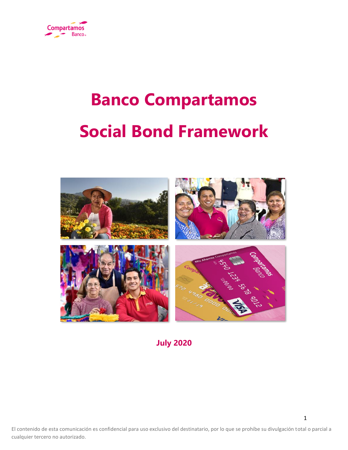

# **Banco Compartamos Social Bond Framework**



**July 2020**

El contenido de esta comunicación es confidencial para uso exclusivo del destinatario, por lo que se prohíbe su divulgación total o parcial a cualquier tercero no autorizado.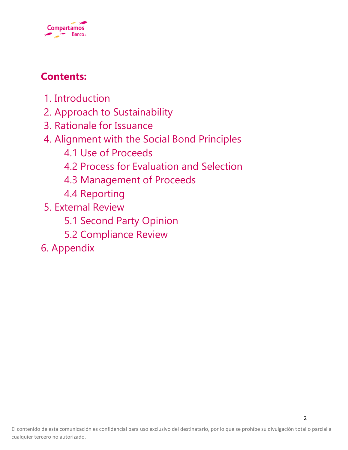

# **Contents:**

- 1. Introduction
- 2. Approach to Sustainability
- 3. Rationale for Issuance
- 4. Alignment with the Social Bond Principles
	- 4.1 Use of Proceeds
	- 4.2 Process for Evaluation and Selection
	- 4.3 Management of Proceeds
	- 4.4 Reporting
- 5. External Review
	- 5.1 Second Party Opinion
	- 5.2 Compliance Review
- 6. Appendix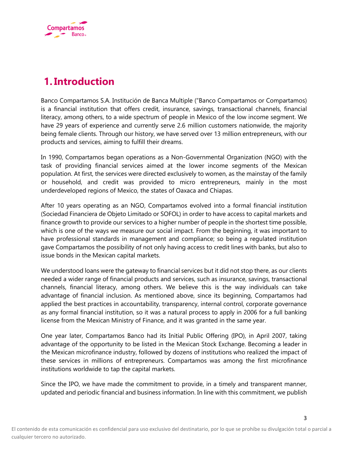

# **1.Introduction**

Banco Compartamos S.A. Institución de Banca Multiple ("Banco Compartamos or Compartamos) is a financial institution that offers credit, insurance, savings, transactional channels, financial literacy, among others, to a wide spectrum of people in Mexico of the low income segment. We have 29 years of experience and currently serve 2.6 million customers nationwide, the majority being female clients. Through our history, we have served over 13 million entrepreneurs, with our products and services, aiming to fulfill their dreams.

In 1990, Compartamos began operations as a Non-Governmental Organization (NGO) with the task of providing financial services aimed at the lower income segments of the Mexican population. At first, the services were directed exclusively to women, as the mainstay of the family or household, and credit was provided to micro entrepreneurs, mainly in the most underdeveloped regions of Mexico, the states of Oaxaca and Chiapas.

After 10 years operating as an NGO, Compartamos evolved into a formal financial institution (Sociedad Financiera de Objeto Limitado or SOFOL) in order to have access to capital markets and finance growth to provide our services to a higher number of people in the shortest time possible, which is one of the ways we measure our social impact. From the beginning, it was important to have professional standards in management and compliance; so being a regulated institution gave Compartamos the possibility of not only having access to credit lines with banks, but also to issue bonds in the Mexican capital markets.

We understood loans were the gateway to financial services but it did not stop there, as our clients needed a wider range of financial products and services, such as insurance, savings, transactional channels, financial literacy, among others. We believe this is the way individuals can take advantage of financial inclusion. As mentioned above, since its beginning, Compartamos had applied the best practices in accountability, transparency, internal control, corporate governance as any formal financial institution, so it was a natural process to apply in 2006 for a full banking license from the Mexican Ministry of Finance, and it was granted in the same year.

One year later, Compartamos Banco had its Initial Public Offering (IPO), in April 2007, taking advantage of the opportunity to be listed in the Mexican Stock Exchange. Becoming a leader in the Mexican microfinance industry, followed by dozens of institutions who realized the impact of these services in millions of entrepreneurs. Compartamos was among the first microfinance institutions worldwide to tap the capital markets.

Since the IPO, we have made the commitment to provide, in a timely and transparent manner, updated and periodic financial and business information. In line with this commitment, we publish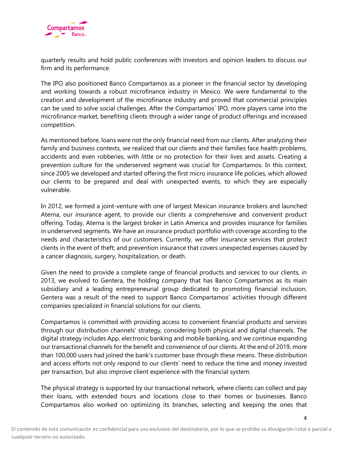

quarterly results and hold public conferences with investors and opinion leaders to discuss our firm and its performance.

The IPO also positioned Banco Compartamos as a pioneer in the financial sector by developing and working towards a robust microfinance industry in Mexico. We were fundamental to the creation and development of the microfinance industry and proved that commercial principles can be used to solve social challenges. After the Compartamos´ IPO, more players came into the microfinance market, benefiting clients through a wider range of product offerings and increased competition.

As mentioned before, loans were not the only financial need from our clients. After analyzing their family and business contexts, we realized that our clients and their families face health problems, accidents and even robberies, with little or no protection for their lives and assets. Creating a prevention culture for the underserved segment was crucial for Compartamos. In this context, since 2005 we developed and started offering the first micro insurance life policies, which allowed our clients to be prepared and deal with unexpected events, to which they are especially vulnerable.

In 2012, we formed a joint-venture with one of largest Mexican insurance brokers and launched Aterna, our insurance agent, to provide our clients a comprehensive and convenient product offering. Today, Aterna is the largest broker in Latin America and provides insurance for families in underserved segments. We have an insurance product portfolio with coverage according to the needs and characteristics of our customers. Currently, we offer insurance services that protect clients in the event of theft; and prevention insurance that covers unexpected expenses caused by a cancer diagnosis, surgery, hospitalization, or death.

Given the need to provide a complete range of financial products and services to our clients, in 2013, we evolved to Gentera, the holding company that has Banco Compartamos as its main subsidiary and a leading entrepreneurial group dedicated to promoting financial inclusion. Gentera was a result of the need to support Banco Compartamos' activities through different companies specialized in financial solutions for our clients.

Compartamos is committed with providing access to convenient financial products and services through our distribution channels' strategy, considering both physical and digital channels. The digital strategy includes App, electronic banking and mobile banking, and we continue expanding our transactional channels for the benefit and convenience of our clients. At the end of 2019, more than 100,000 users had joined the bank's customer base through these means. These distribution and access efforts not only respond to our clients' need to reduce the time and money invested per transaction, but also improve client experience with the financial system.

The physical strategy is supported by our transactional network, where clients can collect and pay their loans, with extended hours and locations close to their homes or businesses. Banco Compartamos also worked on optimizing its branches, selecting and keeping the ones that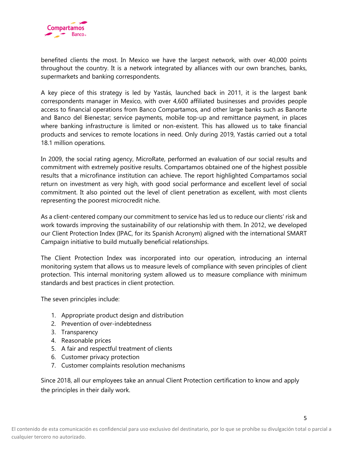

benefited clients the most. In Mexico we have the largest network, with over 40,000 points throughout the country. It is a network integrated by alliances with our own branches, banks, supermarkets and banking correspondents.

A key piece of this strategy is led by Yastás, launched back in 2011, it is the largest bank correspondents manager in Mexico, with over 4,600 affiliated businesses and provides people access to financial operations from Banco Compartamos, and other large banks such as Banorte and Banco del Bienestar; service payments, mobile top-up and remittance payment, in places where banking infrastructure is limited or non-existent. This has allowed us to take financial products and services to remote locations in need. Only during 2019, Yastás carried out a total 18.1 million operations.

In 2009, the social rating agency, MicroRate, performed an evaluation of our social results and commitment with extremely positive results. Compartamos obtained one of the highest possible results that a microfinance institution can achieve. The report highlighted Compartamos social return on investment as very high, with good social performance and excellent level of social commitment. It also pointed out the level of client penetration as excellent, with most clients representing the poorest microcredit niche.

As a client-centered company our commitment to service has led us to reduce our clients' risk and work towards improving the sustainability of our relationship with them. In 2012, we developed our Client Protection Index (IPAC, for its Spanish Acronym) aligned with the international SMART Campaign initiative to build mutually beneficial relationships.

The Client Protection Index was incorporated into our operation, introducing an internal monitoring system that allows us to measure levels of compliance with seven principles of client protection. This internal monitoring system allowed us to measure compliance with minimum standards and best practices in client protection.

The seven principles include:

- 1. Appropriate product design and distribution
- 2. Prevention of over-indebtedness
- 3. Transparency
- 4. Reasonable prices
- 5. A fair and respectful treatment of clients
- 6. Customer privacy protection
- 7. Customer complaints resolution mechanisms

Since 2018, all our employees take an annual Client Protection certification to know and apply the principles in their daily work.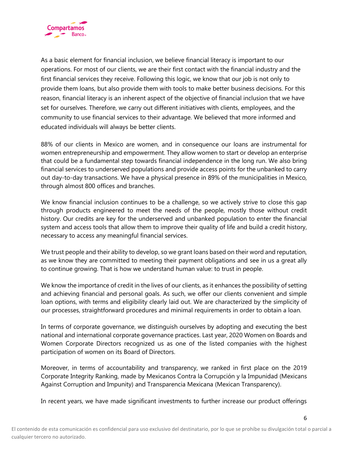

As a basic element for financial inclusion, we believe financial literacy is important to our operations. For most of our clients, we are their first contact with the financial industry and the first financial services they receive. Following this logic, we know that our job is not only to provide them loans, but also provide them with tools to make better business decisions. For this reason, financial literacy is an inherent aspect of the objective of financial inclusion that we have set for ourselves. Therefore, we carry out different initiatives with clients, employees, and the community to use financial services to their advantage. We believed that more informed and educated individuals will always be better clients.

88% of our clients in Mexico are women, and in consequence our loans are instrumental for women entrepreneurship and empowerment. They allow women to start or develop an enterprise that could be a fundamental step towards financial independence in the long run. We also bring financial services to underserved populations and provide access points for the unbanked to carry out day-to-day transactions. We have a physical presence in 89% of the municipalities in Mexico, through almost 800 offices and branches.

We know financial inclusion continues to be a challenge, so we actively strive to close this gap through products engineered to meet the needs of the people, mostly those without credit history. Our credits are key for the underserved and unbanked population to enter the financial system and access tools that allow them to improve their quality of life and build a credit history, necessary to access any meaningful financial services.

We trust people and their ability to develop, so we grant loans based on their word and reputation, as we know they are committed to meeting their payment obligations and see in us a great ally to continue growing. That is how we understand human value: to trust in people.

We know the importance of credit in the lives of our clients, as it enhances the possibility of setting and achieving financial and personal goals. As such, we offer our clients convenient and simple loan options, with terms and eligibility clearly laid out. We are characterized by the simplicity of our processes, straightforward procedures and minimal requirements in order to obtain a loan.

In terms of corporate governance, we distinguish ourselves by adopting and executing the best national and international corporate governance practices. Last year, 2020 Women on Boards and Women Corporate Directors recognized us as one of the listed companies with the highest participation of women on its Board of Directors.

Moreover, in terms of accountability and transparency, we ranked in first place on the 2019 Corporate Integrity Ranking, made by Mexicanos Contra la Corrupción y la Impunidad (Mexicans Against Corruption and Impunity) and Transparencia Mexicana (Mexican Transparency).

In recent years, we have made significant investments to further increase our product offerings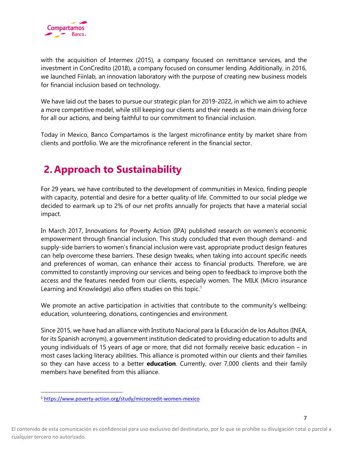

with the acquisition of Intermex (2015), a company focused on remittance services, and the investment in ConCredito (2018), a company focused on consumer lending. Additionally, in 2016, we launched Fiinlab, an innovation laboratory with the purpose of creating new business models for financial inclusion based on technology.

We have laid out the bases to pursue our strategic plan for 2019-2022, in which we aim to achieve a more competitive model, while still keeping our clients and their needs as the main driving force for all our actions, and being faithful to our commitment to financial inclusion.

Today in Mexico, Banco Compartamos is the largest microfinance entity by market share from clients and portfolio. We are the microfinance referent in the financial sector.

# **2. Approach to Sustainability**

For 29 years, we have contributed to the development of communities in Mexico, finding people with capacity, potential and desire for a better quality of life. Committed to our social pledge we decided to earmark up to 2% of our net profits annually for projects that have a material social impact.

In March 2017, Innovations for Poverty Action (IPA) published research on women's economic empowerment through financial inclusion. This study concluded that even though demand- and supply-side barriers to women's financial inclusion were vast, appropriate product design features can help overcome these barriers. These design tweaks, when taking into account specific needs and preferences of woman, can enhance their access to financial products. Therefore, we are committed to constantly improving our services and being open to feedback to improve both the access and the features needed from our clients, especially women. The MILK (Micro insurance Learning and Knowledge) also offers studies on this topic.<sup>1</sup>

We promote an active participation in activities that contribute to the community's wellbeing: education, volunteering, donations, contingencies and environment.

Since 2015, we have had an alliance with Instituto Nacional para la Educación de los Adultos (INEA, for its Spanish acronym), a government institution dedicated to providing education to adults and young individuals of 15 years of age or more, that did not formally receive basic education – in most cases lacking literacy abilities. This alliance is promoted within our clients and their families so they can have access to a better **education**. Currently, over 7,000 clients and their family members have benefited from this alliance.

<sup>1</sup> <https://www.poverty-action.org/study/microcredit-women-mexico>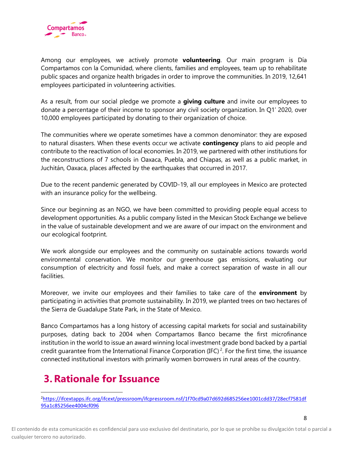

Among our employees, we actively promote **volunteering**. Our main program is Día Compartamos con la Comunidad, where clients, families and employees, team up to rehabilitate public spaces and organize health brigades in order to improve the communities. In 2019, 12,641 employees participated in volunteering activities.

As a result, from our social pledge we promote a **giving culture** and invite our employees to donate a percentage of their income to sponsor any civil society organization. In Q1' 2020, over 10,000 employees participated by donating to their organization of choice.

The communities where we operate sometimes have a common denominator: they are exposed to natural disasters. When these events occur we activate **contingency** plans to aid people and contribute to the reactivation of local economies. In 2019, we partnered with other institutions for the reconstructions of 7 schools in Oaxaca, Puebla, and Chiapas, as well as a public market, in Juchitán, Oaxaca, places affected by the earthquakes that occurred in 2017.

Due to the recent pandemic generated by COVID-19, all our employees in Mexico are protected with an insurance policy for the wellbeing.

Since our beginning as an NGO, we have been committed to providing people equal access to development opportunities. As a public company listed in the Mexican Stock Exchange we believe in the value of sustainable development and we are aware of our impact on the environment and our ecological footprint.

We work alongside our employees and the community on sustainable actions towards world environmental conservation. We monitor our greenhouse gas emissions, evaluating our consumption of electricity and fossil fuels, and make a correct separation of waste in all our facilities.

Moreover, we invite our employees and their families to take care of the **environment** by participating in activities that promote sustainability. In 2019, we planted trees on two hectares of the Sierra de Guadalupe State Park, in the State of Mexico.

Banco Compartamos has a long history of accessing capital markets for social and sustainability purposes, dating back to 2004 when Compartamos Banco became the first microfinance institution in the world to issue an award winning local investment grade bond backed by a partial credit guarantee from the International Finance Corporation (IFC)<sup>2</sup>. For the first time, the issuance connected institutional investors with primarily women borrowers in rural areas of the country.

# **3.Rationale for Issuance**

<sup>2</sup>[https://ifcextapps.ifc.org/ifcext/pressroom/ifcpressroom.nsf/1f70cd9a07d692d685256ee1001cdd37/28ecf7581df](https://ifcextapps.ifc.org/ifcext/pressroom/ifcpressroom.nsf/1f70cd9a07d692d685256ee1001cdd37/28ecf7581df95a1c85256ee4004cf096) [95a1c85256ee4004cf096](https://ifcextapps.ifc.org/ifcext/pressroom/ifcpressroom.nsf/1f70cd9a07d692d685256ee1001cdd37/28ecf7581df95a1c85256ee4004cf096)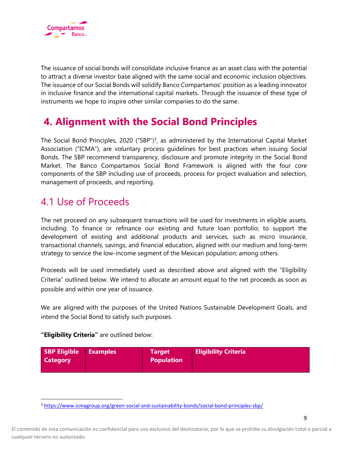

The issuance of social bonds will consolidate inclusive finance as an asset class with the potential to attract a diverse investor base aligned with the same social and economic inclusion objectives. The issuance of our Social Bonds will solidify Banco Compartamos' position as a leading innovator in inclusive finance and the international capital markets. Through the issuance of these type of instruments we hope to inspire other similar companies to do the same.

# **4. Alignment with the Social Bond Principles**

The Social Bond Principles, 2020 ("SBP")<sup>3</sup>, as administered by the International Capital Market Association ("ICMA"), are voluntary process guidelines for best practices when issuing Social Bonds. The SBP recommend transparency, disclosure and promote integrity in the Social Bond Market. The Banco Compartamos Social Bond Framework is aligned with the four core components of the SBP including use of proceeds, process for project evaluation and selection, management of proceeds, and reporting.

### 4.1 Use of Proceeds

The net proceed on any subsequent transactions will be used for investments in eligible assets, including: To finance or refinance our existing and future loan portfolio; to support the development of existing and additional products and services, such as micro insurance, transactional channels, savings, and financial education, aligned with our medium and long-term strategy to service the low-income segment of the Mexican population; among others.

Proceeds will be used immediately used as described above and aligned with the "Eligibility Criteria" outlined below. We intend to allocate an amount equal to the net proceeds as soon as possible and within one year of issuance.

We are aligned with the purposes of the United Nations Sustainable Development Goals, and intend the Social Bond to satisfy such purposes.

**"Eligibility Criteria"** are outlined below:

| SBP Eligible Examples<br><b>Category</b> | <b>Target</b><br>Population | <b>Eligibility Criteria</b> |
|------------------------------------------|-----------------------------|-----------------------------|
|                                          |                             |                             |

<sup>3</sup> <https://www.icmagroup.org/green-social-and-sustainability-bonds/social-bond-principles-sbp/>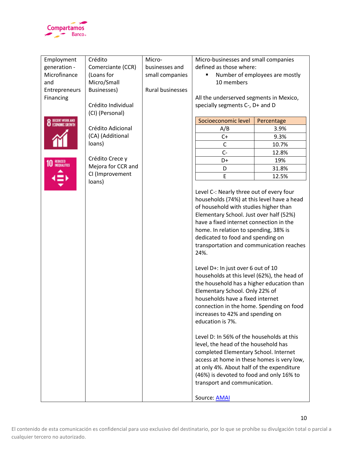

| Employment               | Crédito            | Micro-           | Micro-businesses and small companies                                                                                                                                                                                                                                                                                                                                                                                                                                                                                                                                                                                                                                                                                                                                                                                                                                                                                                                                                            |                                |
|--------------------------|--------------------|------------------|-------------------------------------------------------------------------------------------------------------------------------------------------------------------------------------------------------------------------------------------------------------------------------------------------------------------------------------------------------------------------------------------------------------------------------------------------------------------------------------------------------------------------------------------------------------------------------------------------------------------------------------------------------------------------------------------------------------------------------------------------------------------------------------------------------------------------------------------------------------------------------------------------------------------------------------------------------------------------------------------------|--------------------------------|
| generation -             | Comerciante (CCR)  | businesses and   | defined as those where:                                                                                                                                                                                                                                                                                                                                                                                                                                                                                                                                                                                                                                                                                                                                                                                                                                                                                                                                                                         |                                |
| Microfinance             | (Loans for         | small companies  |                                                                                                                                                                                                                                                                                                                                                                                                                                                                                                                                                                                                                                                                                                                                                                                                                                                                                                                                                                                                 | Number of employees are mostly |
| and                      | Micro/Small        |                  | 10 members                                                                                                                                                                                                                                                                                                                                                                                                                                                                                                                                                                                                                                                                                                                                                                                                                                                                                                                                                                                      |                                |
| Entrepreneurs            | Businesses)        | Rural businesses |                                                                                                                                                                                                                                                                                                                                                                                                                                                                                                                                                                                                                                                                                                                                                                                                                                                                                                                                                                                                 |                                |
| Financing                |                    |                  | All the underserved segments in Mexico,                                                                                                                                                                                                                                                                                                                                                                                                                                                                                                                                                                                                                                                                                                                                                                                                                                                                                                                                                         |                                |
|                          | Crédito Individual |                  | specially segments C-, D+ and D                                                                                                                                                                                                                                                                                                                                                                                                                                                                                                                                                                                                                                                                                                                                                                                                                                                                                                                                                                 |                                |
|                          | (CI) (Personal)    |                  |                                                                                                                                                                                                                                                                                                                                                                                                                                                                                                                                                                                                                                                                                                                                                                                                                                                                                                                                                                                                 |                                |
| <b>8</b> DECENT WORK AND |                    |                  | Socioeconomic level                                                                                                                                                                                                                                                                                                                                                                                                                                                                                                                                                                                                                                                                                                                                                                                                                                                                                                                                                                             | Percentage                     |
|                          | Crédito Adicional  |                  | A/B                                                                                                                                                                                                                                                                                                                                                                                                                                                                                                                                                                                                                                                                                                                                                                                                                                                                                                                                                                                             | 3.9%                           |
|                          | (CA) (Additional   |                  | $C+$                                                                                                                                                                                                                                                                                                                                                                                                                                                                                                                                                                                                                                                                                                                                                                                                                                                                                                                                                                                            | 9.3%                           |
|                          | loans)             |                  | $\mathsf{C}$                                                                                                                                                                                                                                                                                                                                                                                                                                                                                                                                                                                                                                                                                                                                                                                                                                                                                                                                                                                    | 10.7%                          |
|                          |                    |                  | $C -$                                                                                                                                                                                                                                                                                                                                                                                                                                                                                                                                                                                                                                                                                                                                                                                                                                                                                                                                                                                           | 12.8%                          |
|                          | Crédito Crece y    |                  | D+                                                                                                                                                                                                                                                                                                                                                                                                                                                                                                                                                                                                                                                                                                                                                                                                                                                                                                                                                                                              | 19%                            |
| REDUCED<br>Inequalities  | Mejora for CCR and |                  |                                                                                                                                                                                                                                                                                                                                                                                                                                                                                                                                                                                                                                                                                                                                                                                                                                                                                                                                                                                                 |                                |
|                          | CI (Improvement    |                  | D                                                                                                                                                                                                                                                                                                                                                                                                                                                                                                                                                                                                                                                                                                                                                                                                                                                                                                                                                                                               | 31.8%                          |
|                          | loans)             |                  | E                                                                                                                                                                                                                                                                                                                                                                                                                                                                                                                                                                                                                                                                                                                                                                                                                                                                                                                                                                                               | 12.5%                          |
|                          |                    |                  | Level C-: Nearly three out of every four<br>households (74%) at this level have a head<br>of household with studies higher than<br>Elementary School. Just over half (52%)<br>have a fixed internet connection in the<br>home. In relation to spending, 38% is<br>dedicated to food and spending on<br>transportation and communication reaches<br>24%.<br>Level D+: In just over 6 out of 10<br>households at this level (62%), the head of<br>the household has a higher education than<br>Elementary School. Only 22% of<br>households have a fixed internet<br>connection in the home. Spending on food<br>increases to 42% and spending on<br>education is 7%.<br>Level D: In 56% of the households at this<br>level, the head of the household has<br>completed Elementary School. Internet<br>access at home in these homes is very low,<br>at only 4%. About half of the expenditure<br>(46%) is devoted to food and only 16% to<br>transport and communication.<br>Source: <b>AMAI</b> |                                |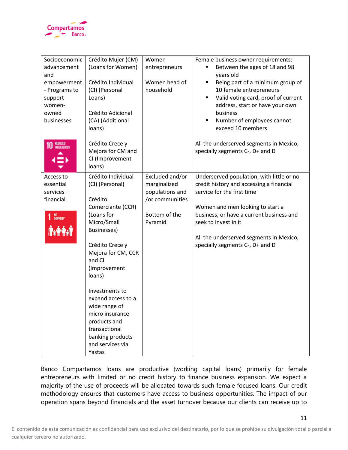

| Socioeconomic<br>advancement<br>and<br>empowerment<br>- Programs to<br>support<br>women-<br>owned<br>businesses<br>REDUCED<br>INEQUALITIES | Crédito Mujer (CM)<br>(Loans for Women)<br>Crédito Individual<br>(CI) (Personal<br>Loans)<br>Crédito Adicional<br>(CA) (Additional<br>loans)<br>Crédito Crece y<br>Mejora for CM and                                                                                                                                                                                 | Women<br>entrepreneurs<br>Women head of<br>household                                              | Female business owner requirements:<br>Between the ages of 18 and 98<br>years old<br>Being part of a minimum group of<br>٠<br>10 female entrepreneurs<br>Valid voting card, proof of current<br>٠<br>address, start or have your own<br>business<br>Number of employees cannot<br>٠<br>exceed 10 members<br>All the underserved segments in Mexico,<br>specially segments C-, D+ and D |
|--------------------------------------------------------------------------------------------------------------------------------------------|----------------------------------------------------------------------------------------------------------------------------------------------------------------------------------------------------------------------------------------------------------------------------------------------------------------------------------------------------------------------|---------------------------------------------------------------------------------------------------|----------------------------------------------------------------------------------------------------------------------------------------------------------------------------------------------------------------------------------------------------------------------------------------------------------------------------------------------------------------------------------------|
|                                                                                                                                            | CI (Improvement<br>loans)                                                                                                                                                                                                                                                                                                                                            |                                                                                                   |                                                                                                                                                                                                                                                                                                                                                                                        |
| Access to<br>essential<br>services-<br>financial<br>NO<br>Poverty<br>1                                                                     | Crédito Individual<br>(CI) (Personal)<br>Crédito<br>Comerciante (CCR)<br>(Loans for<br>Micro/Small<br><b>Businesses)</b><br>Crédito Crece y<br>Mejora for CM, CCR<br>and CI<br>(Improvement<br>loans)<br>Investments to<br>expand access to a<br>wide range of<br>micro insurance<br>products and<br>transactional<br>banking products<br>and services via<br>Yastas | Excluded and/or<br>marginalized<br>populations and<br>/or communities<br>Bottom of the<br>Pyramid | Underserved population, with little or no<br>credit history and accessing a financial<br>service for the first time<br>Women and men looking to start a<br>business, or have a current business and<br>seek to invest in it<br>All the underserved segments in Mexico,<br>specially segments C-, D+ and D                                                                              |

Banco Compartamos loans are productive (working capital loans) primarily for female entrepreneurs with limited or no credit history to finance business expansion. We expect a majority of the use of proceeds will be allocated towards such female focused loans. Our credit methodology ensures that customers have access to business opportunities. The impact of our operation spans beyond financials and the asset turnover because our clients can receive up to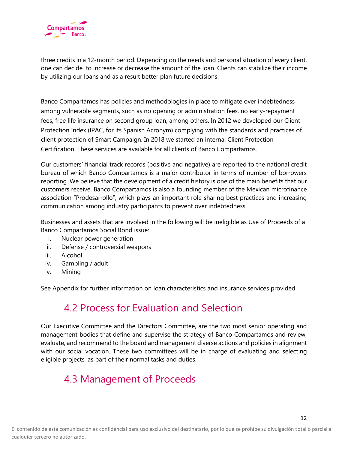

three credits in a 12-month period. Depending on the needs and personal situation of every client, one can decide to increase or decrease the amount of the loan. Clients can stabilize their income by utilizing our loans and as a result better plan future decisions.

Banco Compartamos has policies and methodologies in place to mitigate over indebtedness among vulnerable segments, such as no opening or administration fees, no early-repayment fees, free life insurance on second group loan, among others. In 2012 we developed our Client Protection Index (IPAC, for its Spanish Acronym) complying with the standards and practices of client protection of Smart Campaign. In 2018 we started an internal Client Protection Certification. These services are available for all clients of Banco Compartamos.

Our customers' financial track records (positive and negative) are reported to the national credit bureau of which Banco Compartamos is a major contributor in terms of number of borrowers reporting. We believe that the development of a credit history is one of the main benefits that our customers receive. Banco Compartamos is also a founding member of the Mexican microfinance association "Prodesarrollo", which plays an important role sharing best practices and increasing communication among industry participants to prevent over indebtedness.

Businesses and assets that are involved in the following will be ineligible as Use of Proceeds of a Banco Compartamos Social Bond issue:

- i. Nuclear power generation
- ii. Defense / controversial weapons
- iii. Alcohol
- iv. Gambling / adult
- v. Mining

See Appendix for further information on loan characteristics and insurance services provided.

## 4.2 Process for Evaluation and Selection

Our Executive Committee and the Directors Committee, are the two most senior operating and management bodies that define and supervise the strategy of Banco Compartamos and review, evaluate, and recommend to the board and management diverse actions and policies in alignment with our social vocation. These two committees will be in charge of evaluating and selecting eligible projects, as part of their normal tasks and duties.

## 4.3 Management of Proceeds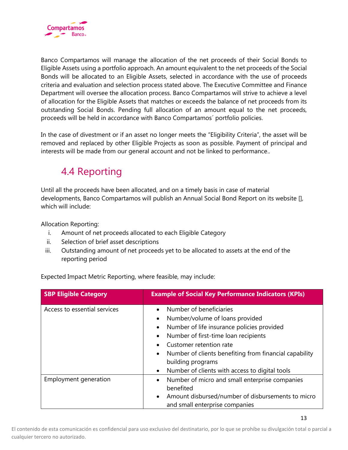

Banco Compartamos will manage the allocation of the net proceeds of their Social Bonds to Eligible Assets using a portfolio approach. An amount equivalent to the net proceeds of the Social Bonds will be allocated to an Eligible Assets, selected in accordance with the use of proceeds criteria and evaluation and selection process stated above. The Executive Committee and Finance Department will oversee the allocation process. Banco Compartamos will strive to achieve a level of allocation for the Eligible Assets that matches or exceeds the balance of net proceeds from its outstanding Social Bonds. Pending full allocation of an amount equal to the net proceeds, proceeds will be held in accordance with Banco Compartamos´ portfolio policies.

In the case of divestment or if an asset no longer meets the "Eligibility Criteria", the asset will be removed and replaced by other Eligible Projects as soon as possible. Payment of principal and interests will be made from our general account and not be linked to performance..

# 4.4 Reporting

Until all the proceeds have been allocated, and on a timely basis in case of material developments, Banco Compartamos will publish an Annual Social Bond Report on its website [], which will include:

Allocation Reporting:

- i. Amount of net proceeds allocated to each Eligible Category
- ii. Selection of brief asset descriptions
- iii. Outstanding amount of net proceeds yet to be allocated to assets at the end of the reporting period

| Expected Impact Metric Reporting, where feasible, may include: |  |
|----------------------------------------------------------------|--|
|                                                                |  |
|                                                                |  |

| <b>SBP Eligible Category</b> | <b>Example of Social Key Performance Indicators (KPIs)</b>                                                                                                                                                                                                                                                                                                                                              |
|------------------------------|---------------------------------------------------------------------------------------------------------------------------------------------------------------------------------------------------------------------------------------------------------------------------------------------------------------------------------------------------------------------------------------------------------|
| Access to essential services | Number of beneficiaries<br>$\bullet$<br>Number/volume of loans provided<br>$\bullet$<br>Number of life insurance policies provided<br>$\bullet$<br>Number of first-time loan recipients<br>$\bullet$<br>Customer retention rate<br>$\bullet$<br>Number of clients benefiting from financial capability<br>$\bullet$<br>building programs<br>Number of clients with access to digital tools<br>$\bullet$ |
| Employment generation        | Number of micro and small enterprise companies<br>$\bullet$<br>benefited<br>Amount disbursed/number of disbursements to micro<br>$\bullet$<br>and small enterprise companies                                                                                                                                                                                                                            |

El contenido de esta comunicación es confidencial para uso exclusivo del destinatario, por lo que se prohíbe su divulgación total o parcial a cualquier tercero no autorizado.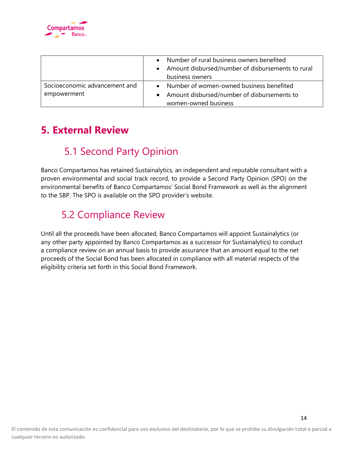

|                               | Number of rural business owners benefited<br>$\bullet$<br>Amount disbursed/number of disbursements to rural<br>business owners |
|-------------------------------|--------------------------------------------------------------------------------------------------------------------------------|
| Socioeconomic advancement and | • Number of women-owned business benefited                                                                                     |
| empowerment                   | Amount disbursed/number of disbursements to                                                                                    |
|                               | women-owned business                                                                                                           |

# **5. External Review**

# 5.1 Second Party Opinion

Banco Compartamos has retained Sustainalytics, an independent and reputable consultant with a proven environmental and social track record, to provide a Second Party Opinion (SPO) on the environmental benefits of Banco Compartamos' Social Bond Framework as well as the alignment to the SBP. The SPO is available on the SPO provider's website.

# 5.2 Compliance Review

Until all the proceeds have been allocated, Banco Compartamos will appoint Sustainalytics (or any other party appointed by Banco Compartamos as a successor for Sustainalytics) to conduct a compliance review on an annual basis to provide assurance that an amount equal to the net proceeds of the Social Bond has been allocated in compliance with all material respects of the eligibility criteria set forth in this Social Bond Framework.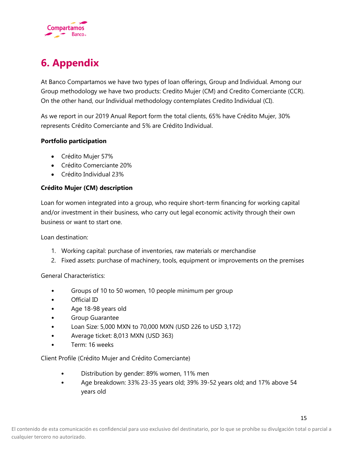

# **6. Appendix**

At Banco Compartamos we have two types of loan offerings, Group and Individual. Among our Group methodology we have two products: Credito Mujer (CM) and Credito Comerciante (CCR). On the other hand, our Individual methodology contemplates Credito Individual (CI).

As we report in our 2019 Anual Report form the total clients, 65% have Crédito Mujer, 30% represents Crédito Comerciante and 5% are Crédito Individual.

### **Portfolio participation**

- Crédito Mujer 57%
- Crédito Comerciante 20%
- Crédito Individual 23%

### **Crédito Mujer (CM) description**

Loan for women integrated into a group, who require short-term financing for working capital and/or investment in their business, who carry out legal economic activity through their own business or want to start one.

Loan destination:

- 1. Working capital: purchase of inventories, raw materials or merchandise
- 2. Fixed assets: purchase of machinery, tools, equipment or improvements on the premises

General Characteristics:

- Groups of 10 to 50 women, 10 people minimum per group
- Official ID
- Age 18-98 years old
- Group Guarantee
- Loan Size: 5,000 MXN to 70,000 MXN (USD 226 to USD 3,172)
- Average ticket: 8,013 MXN (USD 363)
- Term: 16 weeks

Client Profile (Crédito Mujer and Crédito Comerciante)

- Distribution by gender: 89% women, 11% men
- Age breakdown: 33% 23-35 years old; 39% 39-52 years old; and 17% above 54 years old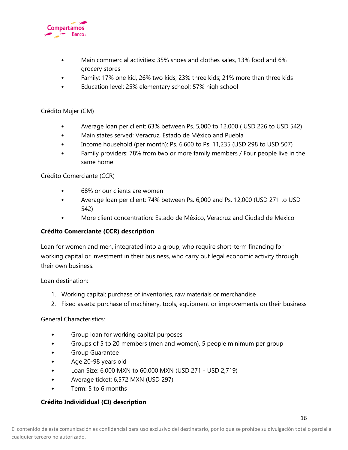

- Main commercial activities: 35% shoes and clothes sales, 13% food and 6% grocery stores
- Family: 17% one kid, 26% two kids; 23% three kids; 21% more than three kids
- Education level: 25% elementary school; 57% high school

### Crédito Mujer (CM)

- Average loan per client: 63% between Ps. 5,000 to 12,000 ( USD 226 to USD 542)
- Main states served: Veracruz, Estado de México and Puebla
- Income household (per month): Ps. 6,600 to Ps. 11,235 (USD 298 to USD 507)
- Family providers: 78% from two or more family members / Four people live in the same home

### Crédito Comerciante (CCR)

- 68% or our clients are women
- Average loan per client: 74% between Ps. 6,000 and Ps. 12,000 (USD 271 to USD 542)
- More client concentration: Estado de México, Veracruz and Ciudad de México

### **Crédito Comerciante (CCR) description**

Loan for women and men, integrated into a group, who require short-term financing for working capital or investment in their business, who carry out legal economic activity through their own business.

Loan destination:

- 1. Working capital: purchase of inventories, raw materials or merchandise
- 2. Fixed assets: purchase of machinery, tools, equipment or improvements on their business

### General Characteristics:

- Group loan for working capital purposes
- Groups of 5 to 20 members (men and women), 5 people minimum per group
- Group Guarantee
- Age 20-98 years old
- Loan Size: 6,000 MXN to 60,000 MXN (USD 271 USD 2,719)
- Average ticket: 6,572 MXN (USD 297)
- Term: 5 to 6 months

### **Crédito Individidual (CI) description**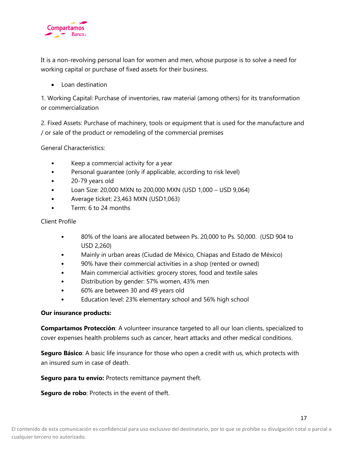

It is a non-revolving personal loan for women and men, whose purpose is to solve a need for working capital or purchase of fixed assets for their business.

• Loan destination

1. Working Capital: Purchase of inventories, raw material (among others) for its transformation or commercialization

2. Fixed Assets: Purchase of machinery, tools or equipment that is used for the manufacture and / or sale of the product or remodeling of the commercial premises

General Characteristics:

- Keep a commercial activity for a year
- Personal guarantee (only if applicable, according to risk level)
- 20-79 years old
- Loan Size: 20,000 MXN to 200,000 MXN (USD 1,000 USD 9,064)
- Average ticket: 23,463 MXN (USD1,063)
- Term: 6 to 24 months

### Client Profile

- 80% of the loans are allocated between Ps. 20,000 to Ps. 50,000. (USD 904 to USD 2,260)
- Mainly in urban areas (Ciudad de México, Chiapas and Estado de México)
- 90% have their commercial activities in a shop (rented or owned)
- Main commercial activities: grocery stores, food and textile sales
- Distribution by gender: 57% women, 43% men
- 60% are between 30 and 49 years old
- Education level: 23% elementary school and 56% high school

### **Our insurance products:**

**Compartamos Protección**: A volunteer insurance targeted to all our loan clients, specialized to cover expenses health problems such as cancer, heart attacks and other medical conditions.

**Seguro Básico**: A basic life insurance for those who open a credit with us, which protects with an insured sum in case of death.

**Seguro para tu envío:** Protects remittance payment theft.

**Seguro de robo**: Protects in the event of theft.